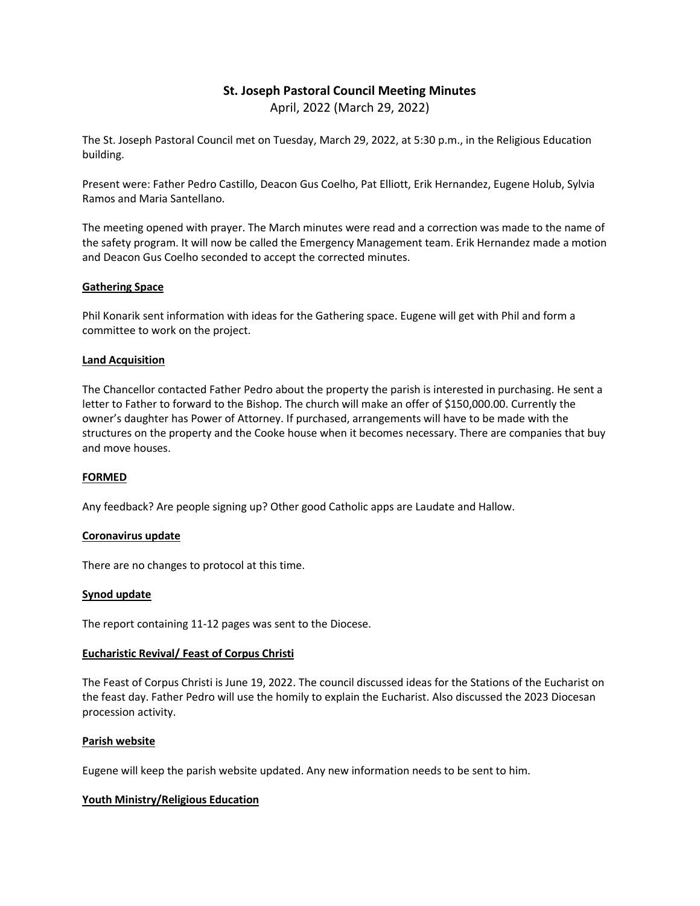# **St. Joseph Pastoral Council Meeting Minutes** April, 2022 (March 29, 2022)

The St. Joseph Pastoral Council met on Tuesday, March 29, 2022, at 5:30 p.m., in the Religious Education building.

Present were: Father Pedro Castillo, Deacon Gus Coelho, Pat Elliott, Erik Hernandez, Eugene Holub, Sylvia Ramos and Maria Santellano.

The meeting opened with prayer. The March minutes were read and a correction was made to the name of the safety program. It will now be called the Emergency Management team. Erik Hernandez made a motion and Deacon Gus Coelho seconded to accept the corrected minutes.

## **Gathering Space**

Phil Konarik sent information with ideas for the Gathering space. Eugene will get with Phil and form a committee to work on the project.

## **Land Acquisition**

The Chancellor contacted Father Pedro about the property the parish is interested in purchasing. He sent a letter to Father to forward to the Bishop. The church will make an offer of \$150,000.00. Currently the owner's daughter has Power of Attorney. If purchased, arrangements will have to be made with the structures on the property and the Cooke house when it becomes necessary. There are companies that buy and move houses.

## **FORMED**

Any feedback? Are people signing up? Other good Catholic apps are Laudate and Hallow.

## **Coronavirus update**

There are no changes to protocol at this time.

## **Synod update**

The report containing 11-12 pages was sent to the Diocese.

## **Eucharistic Revival/ Feast of Corpus Christi**

The Feast of Corpus Christi is June 19, 2022. The council discussed ideas for the Stations of the Eucharist on the feast day. Father Pedro will use the homily to explain the Eucharist. Also discussed the 2023 Diocesan procession activity.

## **Parish website**

Eugene will keep the parish website updated. Any new information needs to be sent to him.

## **Youth Ministry/Religious Education**